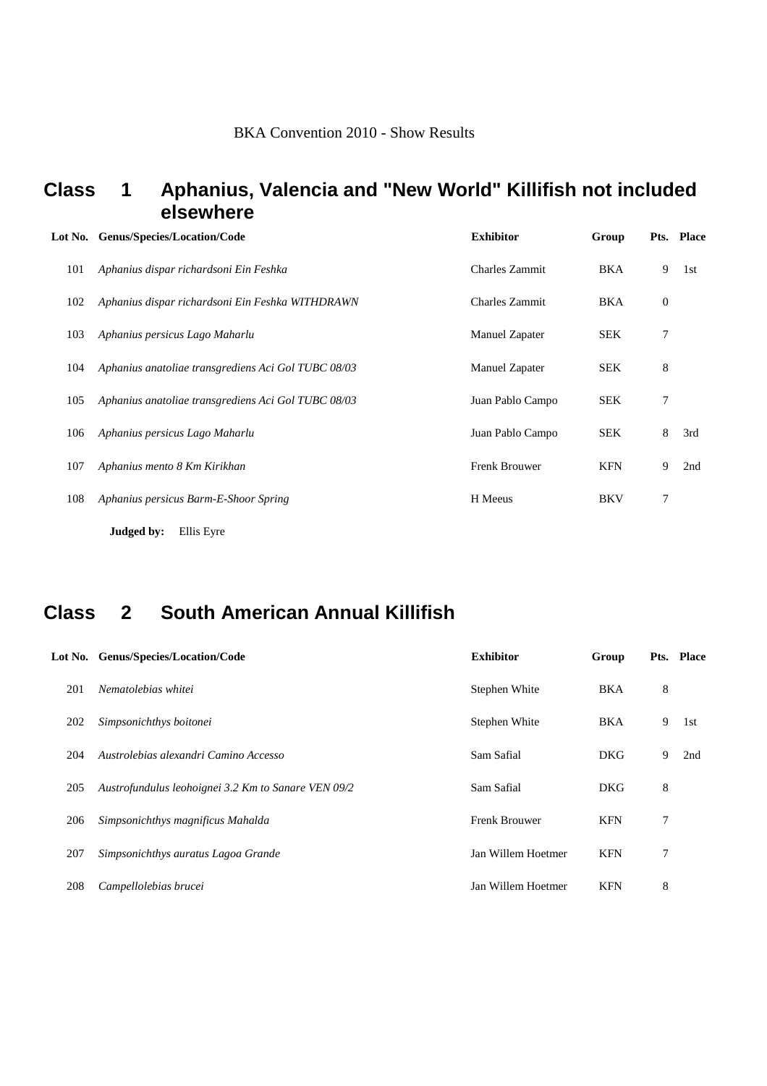### **Class 1 Aphanius, Valencia and "New World" Killifish not included elsewhere**

|     | Lot No. Genus/Species/Location/Code                 | <b>Exhibitor</b>      | Group      |                  | Pts. Place |
|-----|-----------------------------------------------------|-----------------------|------------|------------------|------------|
| 101 | Aphanius dispar richardsoni Ein Feshka              | <b>Charles Zammit</b> | BKA        | 9                | 1st        |
| 102 | Aphanius dispar richardsoni Ein Feshka WITHDRAWN    | <b>Charles Zammit</b> | <b>BKA</b> | $\boldsymbol{0}$ |            |
| 103 | Aphanius persicus Lago Maharlu                      | Manuel Zapater        | <b>SEK</b> | 7                |            |
| 104 | Aphanius anatoliae transgrediens Aci Gol TUBC 08/03 | <b>Manuel Zapater</b> | <b>SEK</b> | 8                |            |
| 105 | Aphanius anatoliae transgrediens Aci Gol TUBC 08/03 | Juan Pablo Campo      | <b>SEK</b> | 7                |            |
| 106 | Aphanius persicus Lago Maharlu                      | Juan Pablo Campo      | <b>SEK</b> | 8                | 3rd        |
| 107 | Aphanius mento 8 Km Kirikhan                        | <b>Frenk Brouwer</b>  | <b>KFN</b> | 9                | 2nd        |
| 108 | Aphanius persicus Barm-E-Shoor Spring               | H Meeus               | <b>BKV</b> | 7                |            |
|     | Judged by:<br>Ellis Eyre                            |                       |            |                  |            |

## **Class 2 South American Annual Killifish**

|     | Lot No. Genus/Species/Location/Code                 | <b>Exhibitor</b>     | Group      |   | Pts. Place |
|-----|-----------------------------------------------------|----------------------|------------|---|------------|
| 201 | Nematolebias whitei                                 | Stephen White        | <b>BKA</b> | 8 |            |
| 202 | Simpsonichthys boitonei                             | Stephen White        | <b>BKA</b> | 9 | 1st        |
| 204 | Austrolebias alexandri Camino Accesso               | Sam Safial           | <b>DKG</b> | 9 | 2nd        |
| 205 | Austrofundulus leohoignei 3.2 Km to Sanare VEN 09/2 | Sam Safial           | <b>DKG</b> | 8 |            |
| 206 | Simpsonichthys magnificus Mahalda                   | <b>Frenk Brouwer</b> | <b>KFN</b> | 7 |            |
| 207 | Simpsonichthys auratus Lagoa Grande                 | Jan Willem Hoetmer   | <b>KFN</b> | 7 |            |
| 208 | Campellolebias brucei                               | Jan Willem Hoetmer   | <b>KFN</b> | 8 |            |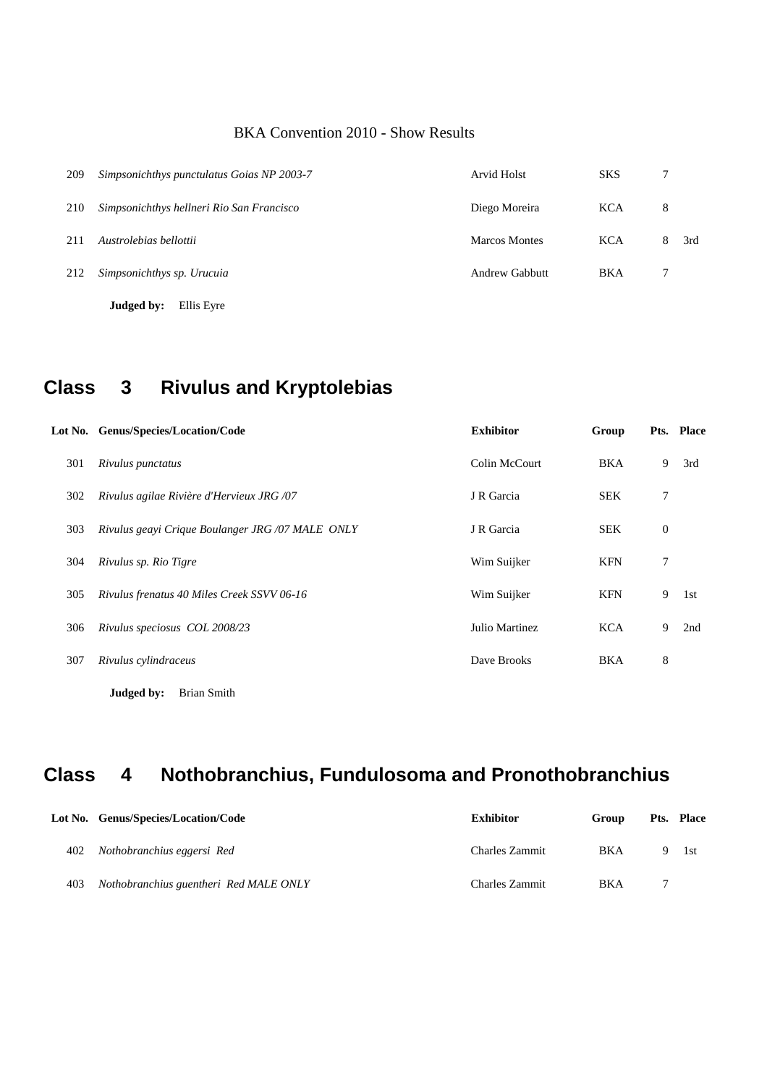| 209 | Simpsonichthys punctulatus Goias NP 2003-7 | Arvid Holst          | <b>SKS</b> |   |     |
|-----|--------------------------------------------|----------------------|------------|---|-----|
| 210 | Simpsonichthys hellneri Rio San Francisco  | Diego Moreira        | <b>KCA</b> | 8 |     |
| 211 | Austrolebias bellottii                     | <b>Marcos Montes</b> | <b>KCA</b> | 8 | 3rd |
| 212 | Simpsonichthys sp. Urucuia                 | Andrew Gabbutt       | <b>BKA</b> |   |     |
|     | Judged by:<br>Ellis Eyre                   |                      |            |   |     |

## **Class 3 Rivulus and Kryptolebias**

|     | Lot No. Genus/Species/Location/Code              | <b>Exhibitor</b> | Group      |             | Pts. Place |
|-----|--------------------------------------------------|------------------|------------|-------------|------------|
| 301 | Rivulus punctatus                                | Colin McCourt    | <b>BKA</b> | 9           | 3rd        |
| 302 | Rivulus agilae Rivière d'Hervieux JRG /07        | J R Garcia       | <b>SEK</b> | 7           |            |
| 303 | Rivulus geayi Crique Boulanger JRG /07 MALE ONLY | J R Garcia       | <b>SEK</b> | $\mathbf 0$ |            |
| 304 | Rivulus sp. Rio Tigre                            | Wim Suijker      | <b>KFN</b> | 7           |            |
| 305 | Rivulus frenatus 40 Miles Creek SSVV 06-16       | Wim Suijker      | <b>KFN</b> | 9           | 1st        |
| 306 | Rivulus speciosus COL 2008/23                    | Julio Martinez   | <b>KCA</b> | 9           | 2nd        |
| 307 | Rivulus cylindraceus                             | Dave Brooks      | <b>BKA</b> | 8           |            |
|     |                                                  |                  |            |             |            |

**Judged by:** Brian Smith

# **Class 4 Nothobranchius, Fundulosoma and Pronothobranchius**

|     | Lot No. Genus/Species/Location/Code    | <b>Exhibitor</b> | Group      | <b>Pts.</b> Place |
|-----|----------------------------------------|------------------|------------|-------------------|
| 402 | Nothobranchius eggersi Red             | Charles Zammit   | <b>BKA</b> | -l st             |
| 403 | Nothobranchius guentheri Red MALE ONLY | Charles Zammit   | <b>BKA</b> |                   |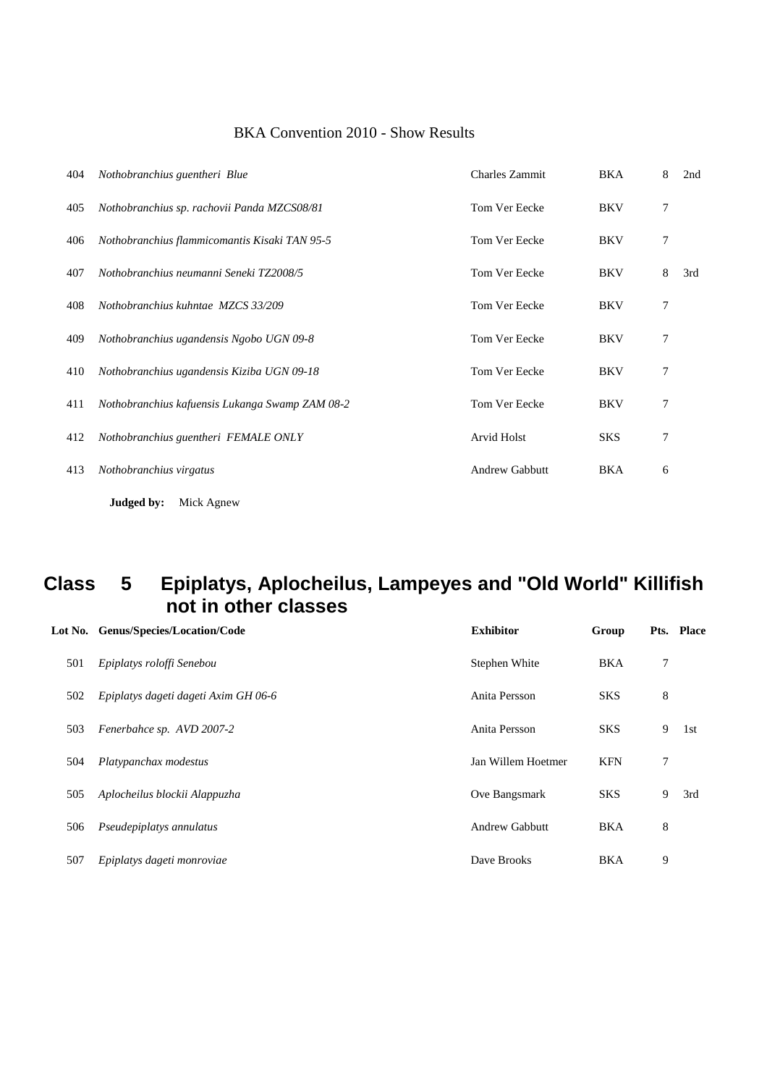| 404 | Nothobranchius guentheri Blue                   | <b>Charles Zammit</b> | BKA        | 8 | 2nd |
|-----|-------------------------------------------------|-----------------------|------------|---|-----|
| 405 | Nothobranchius sp. rachovii Panda MZCS08/81     | Tom Ver Eecke         | <b>BKV</b> | 7 |     |
| 406 | Nothobranchius flammicomantis Kisaki TAN 95-5   | Tom Ver Eecke         | <b>BKV</b> | 7 |     |
| 407 | Nothobranchius neumanni Seneki TZ2008/5         | Tom Ver Eecke         | <b>BKV</b> | 8 | 3rd |
| 408 | Nothobranchius kuhntae MZCS 33/209              | Tom Ver Eecke         | <b>BKV</b> | 7 |     |
| 409 | Nothobranchius ugandensis Ngobo UGN 09-8        | Tom Ver Eecke         | <b>BKV</b> | 7 |     |
| 410 | Nothobranchius ugandensis Kiziba UGN 09-18      | Tom Ver Eecke         | <b>BKV</b> | 7 |     |
| 411 | Nothobranchius kafuensis Lukanga Swamp ZAM 08-2 | Tom Ver Eecke         | <b>BKV</b> | 7 |     |
| 412 | Nothobranchius guentheri FEMALE ONLY            | Arvid Holst           | <b>SKS</b> | 7 |     |
| 413 | Nothobranchius virgatus                         | <b>Andrew Gabbutt</b> | <b>BKA</b> | 6 |     |
|     | Judged by:<br>Mick Agnew                        |                       |            |   |     |

### **Class 5 Epiplatys, Aplocheilus, Lampeyes and "Old World" Killifish not in other classes**

|     | Lot No. Genus/Species/Location/Code  | <b>Exhibitor</b>      | Group      |   | Pts. Place |
|-----|--------------------------------------|-----------------------|------------|---|------------|
| 501 | Epiplatys roloffi Senebou            | Stephen White         | <b>BKA</b> | 7 |            |
| 502 | Epiplatys dageti dageti Axim GH 06-6 | Anita Persson         | <b>SKS</b> | 8 |            |
| 503 | Fenerbahce sp. AVD 2007-2            | Anita Persson         | <b>SKS</b> | 9 | 1st        |
| 504 | Platypanchax modestus                | Jan Willem Hoetmer    | <b>KFN</b> | 7 |            |
| 505 | Aplocheilus blockii Alappuzha        | Ove Bangsmark         | <b>SKS</b> | 9 | 3rd        |
| 506 | Pseudepiplatys annulatus             | <b>Andrew Gabbutt</b> | <b>BKA</b> | 8 |            |
| 507 | Epiplatys dageti monroviae           | Dave Brooks           | <b>BKA</b> | 9 |            |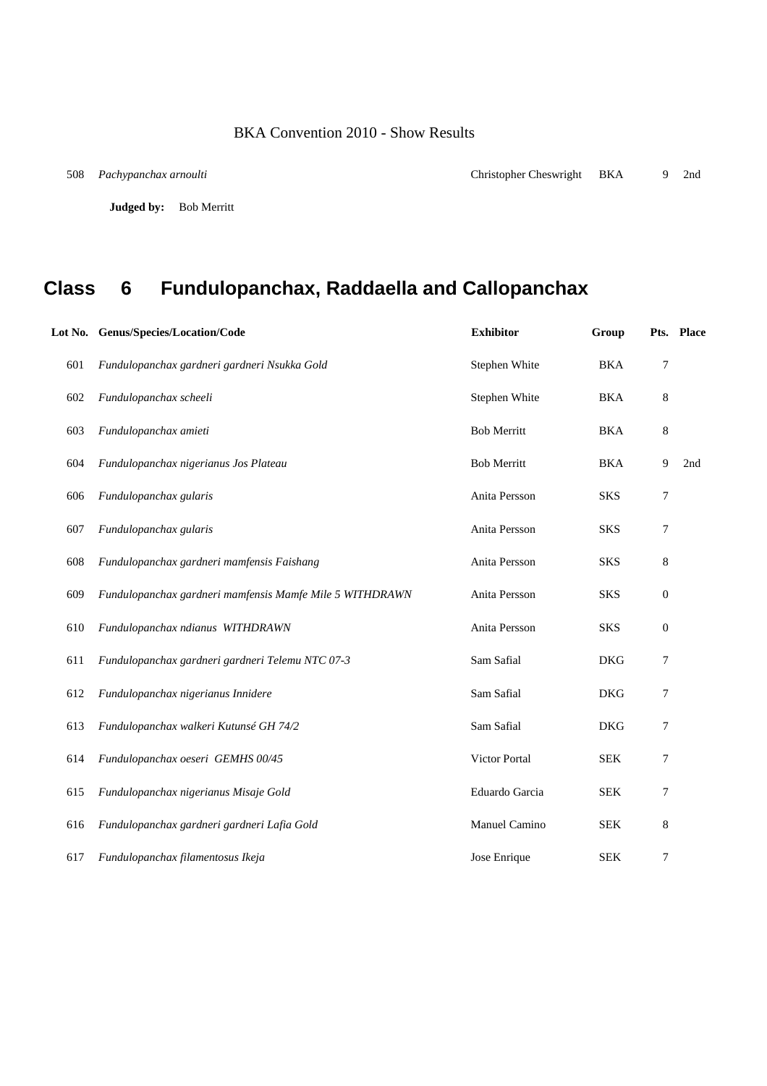**Judged by:** Bob Merritt

## **Class 6 Fundulopanchax, Raddaella and Callopanchax**

|     | Lot No. Genus/Species/Location/Code                      | <b>Exhibitor</b>   | Group      |                  | Pts. Place |
|-----|----------------------------------------------------------|--------------------|------------|------------------|------------|
| 601 | Fundulopanchax gardneri gardneri Nsukka Gold             | Stephen White      | <b>BKA</b> | 7                |            |
| 602 | Fundulopanchax scheeli                                   | Stephen White      | <b>BKA</b> | 8                |            |
| 603 | Fundulopanchax amieti                                    | <b>Bob Merritt</b> | <b>BKA</b> | 8                |            |
| 604 | Fundulopanchax nigerianus Jos Plateau                    | <b>Bob Merritt</b> | <b>BKA</b> | 9                | 2nd        |
| 606 | Fundulopanchax gularis                                   | Anita Persson      | <b>SKS</b> | 7                |            |
| 607 | Fundulopanchax gularis                                   | Anita Persson      | <b>SKS</b> | 7                |            |
| 608 | Fundulopanchax gardneri mamfensis Faishang               | Anita Persson      | <b>SKS</b> | 8                |            |
| 609 | Fundulopanchax gardneri mamfensis Mamfe Mile 5 WITHDRAWN | Anita Persson      | <b>SKS</b> | $\boldsymbol{0}$ |            |
| 610 | Fundulopanchax ndianus WITHDRAWN                         | Anita Persson      | <b>SKS</b> | $\boldsymbol{0}$ |            |
| 611 | Fundulopanchax gardneri gardneri Telemu NTC 07-3         | Sam Safial         | <b>DKG</b> | 7                |            |
| 612 | Fundulopanchax nigerianus Innidere                       | Sam Safial         | <b>DKG</b> | 7                |            |
| 613 | Fundulopanchax walkeri Kutunsé GH 74/2                   | Sam Safial         | <b>DKG</b> | 7                |            |
| 614 | Fundulopanchax oeseri GEMHS 00/45                        | Victor Portal      | <b>SEK</b> | 7                |            |
| 615 | Fundulopanchax nigerianus Misaje Gold                    | Eduardo Garcia     | <b>SEK</b> | 7                |            |
| 616 | Fundulopanchax gardneri gardneri Lafia Gold              | Manuel Camino      | <b>SEK</b> | 8                |            |
| 617 | Fundulopanchax filamentosus Ikeja                        | Jose Enrique       | <b>SEK</b> | 7                |            |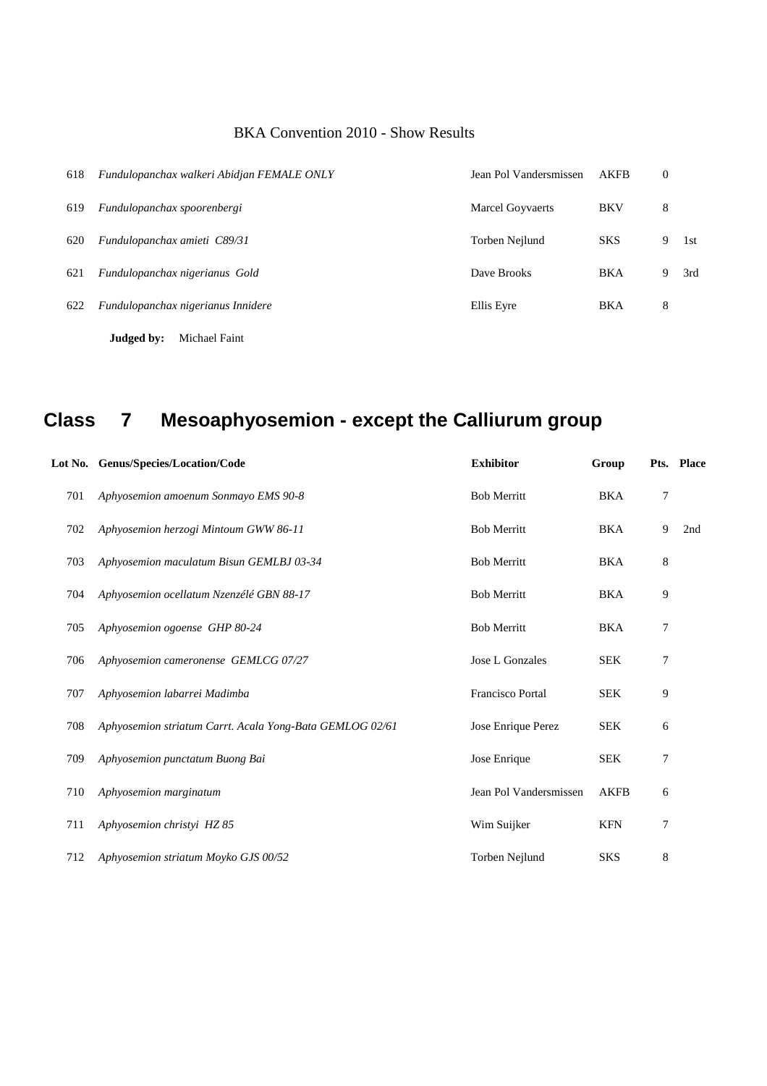| 618 | Fundulopanchax walkeri Abidjan FEMALE ONLY | Jean Pol Vandersmissen  | <b>AKFB</b> | $\boldsymbol{0}$ |     |
|-----|--------------------------------------------|-------------------------|-------------|------------------|-----|
| 619 | Fundulopanchax spoorenbergi                | <b>Marcel Goyvaerts</b> | <b>BKV</b>  | 8                |     |
| 620 | Fundulopanchax amieti C89/31               | Torben Nejlund          | <b>SKS</b>  | 9                | 1st |
| 621 | Fundulopanchax nigerianus Gold             | Dave Brooks             | <b>BKA</b>  | 9                | 3rd |
| 622 | Fundulopanchax nigerianus Innidere         | Ellis Eyre              | <b>BKA</b>  | 8                |     |
|     | Judged by:<br>Michael Faint                |                         |             |                  |     |

# **Class 7 Mesoaphyosemion - except the Calliurum group**

|     | Lot No. Genus/Species/Location/Code                      | <b>Exhibitor</b>        | Group       |   | Pts. Place |
|-----|----------------------------------------------------------|-------------------------|-------------|---|------------|
| 701 | Aphyosemion amoenum Sonmayo EMS 90-8                     | <b>Bob Merritt</b>      | <b>BKA</b>  | 7 |            |
| 702 | Aphyosemion herzogi Mintoum GWW 86-11                    | <b>Bob Merritt</b>      | <b>BKA</b>  | 9 | 2nd        |
| 703 | Aphyosemion maculatum Bisun GEMLBJ 03-34                 | <b>Bob Merritt</b>      | <b>BKA</b>  | 8 |            |
| 704 | Aphyosemion ocellatum Nzenzélé GBN 88-17                 | <b>Bob Merritt</b>      | <b>BKA</b>  | 9 |            |
| 705 | Aphyosemion ogoense GHP 80-24                            | <b>Bob Merritt</b>      | <b>BKA</b>  | 7 |            |
| 706 | Aphyosemion cameronense GEMLCG 07/27                     | Jose L Gonzales         | <b>SEK</b>  | 7 |            |
| 707 | Aphyosemion labarrei Madimba                             | <b>Francisco Portal</b> | <b>SEK</b>  | 9 |            |
| 708 | Aphyosemion striatum Carrt. Acala Yong-Bata GEMLOG 02/61 | Jose Enrique Perez      | <b>SEK</b>  | 6 |            |
| 709 | Aphyosemion punctatum Buong Bai                          | Jose Enrique            | <b>SEK</b>  | 7 |            |
| 710 | Aphyosemion marginatum                                   | Jean Pol Vandersmissen  | <b>AKFB</b> | 6 |            |
| 711 | Aphyosemion christyi HZ 85                               | Wim Suijker             | <b>KFN</b>  | 7 |            |
| 712 | Aphyosemion striatum Moyko GJS 00/52                     | Torben Nejlund          | <b>SKS</b>  | 8 |            |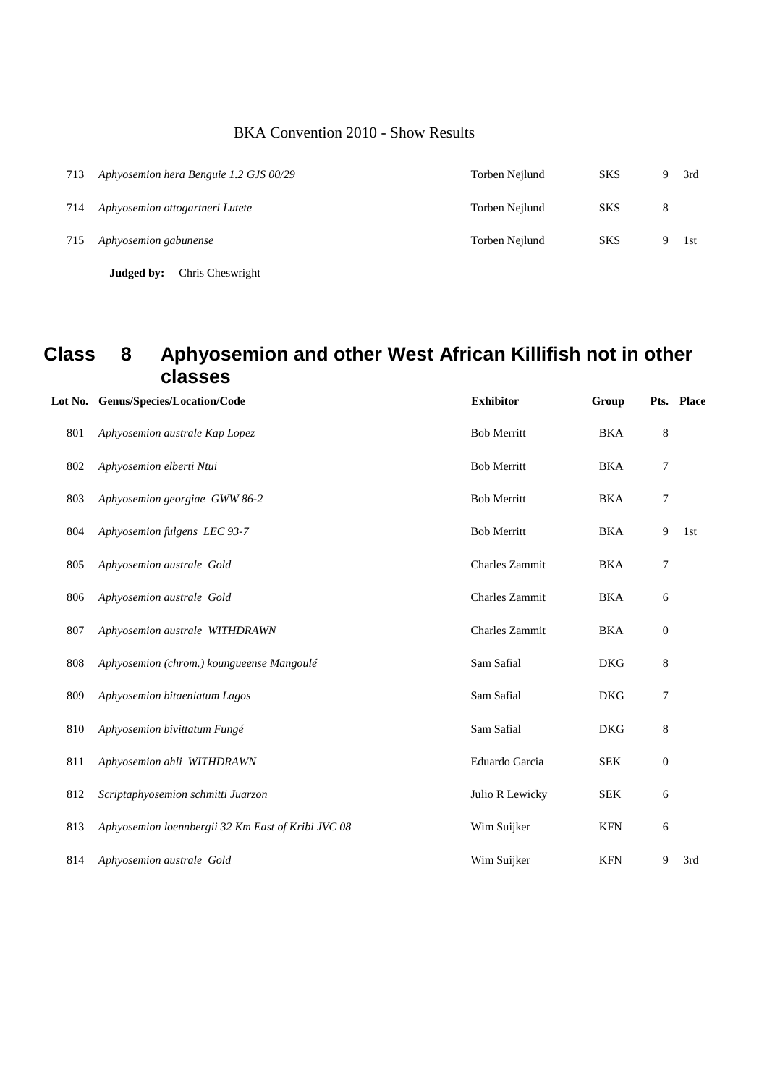|     | Chris Cheswright<br>Judged by:         |                |            |   |     |
|-----|----------------------------------------|----------------|------------|---|-----|
| 715 | Aphyosemion gabunense                  | Torben Neilund | <b>SKS</b> |   | 1st |
| 714 | Aphyosemion ottogartneri Lutete        | Torben Nejlund | <b>SKS</b> | 8 |     |
| 713 | Aphyosemion hera Benguie 1.2 GJS 00/29 | Torben Nejlund | <b>SKS</b> |   | 3rd |

### **Class 8 Aphyosemion and other West African Killifish not in other classes**

|     | Lot No. Genus/Species/Location/Code                | <b>Exhibitor</b>   | Group      |                  | Pts. Place |
|-----|----------------------------------------------------|--------------------|------------|------------------|------------|
| 801 | Aphyosemion australe Kap Lopez                     | <b>Bob Merritt</b> | <b>BKA</b> | 8                |            |
| 802 | Aphyosemion elberti Ntui                           | <b>Bob Merritt</b> | <b>BKA</b> | 7                |            |
| 803 | Aphyosemion georgiae GWW 86-2                      | <b>Bob Merritt</b> | <b>BKA</b> | 7                |            |
| 804 | Aphyosemion fulgens LEC 93-7                       | <b>Bob Merritt</b> | <b>BKA</b> | 9                | 1st        |
| 805 | Aphyosemion australe Gold                          | Charles Zammit     | <b>BKA</b> | 7                |            |
| 806 | Aphyosemion australe Gold                          | Charles Zammit     | <b>BKA</b> | 6                |            |
| 807 | Aphyosemion australe WITHDRAWN                     | Charles Zammit     | <b>BKA</b> | $\boldsymbol{0}$ |            |
| 808 | Aphyosemion (chrom.) koungueense Mangoulé          | Sam Safial         | <b>DKG</b> | 8                |            |
| 809 | Aphyosemion bitaeniatum Lagos                      | Sam Safial         | <b>DKG</b> | 7                |            |
| 810 | Aphyosemion bivittatum Fungé                       | Sam Safial         | <b>DKG</b> | 8                |            |
| 811 | Aphyosemion ahli WITHDRAWN                         | Eduardo Garcia     | <b>SEK</b> | $\boldsymbol{0}$ |            |
| 812 | Scriptaphyosemion schmitti Juarzon                 | Julio R Lewicky    | <b>SEK</b> | 6                |            |
| 813 | Aphyosemion loennbergii 32 Km East of Kribi JVC 08 | Wim Suijker        | <b>KFN</b> | 6                |            |
| 814 | Aphyosemion australe Gold                          | Wim Suijker        | <b>KFN</b> | 9                | 3rd        |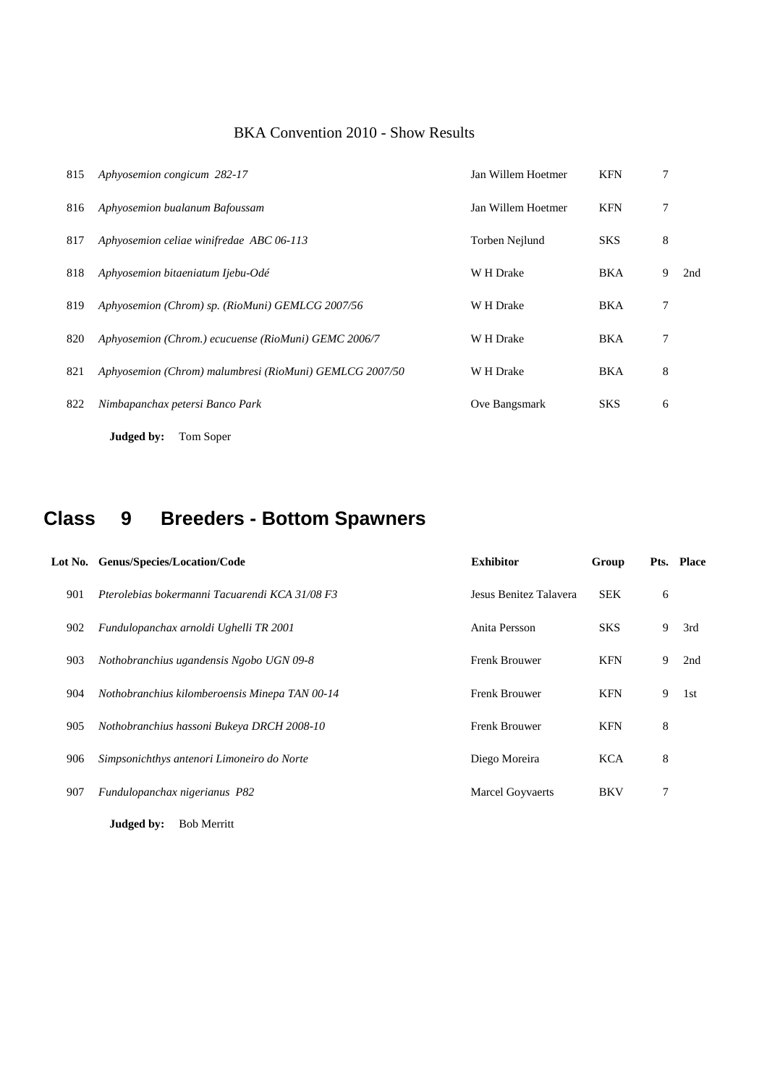| 815 | Aphyosemion congicum 282-17                             | Jan Willem Hoetmer | <b>KFN</b> | 7 |     |
|-----|---------------------------------------------------------|--------------------|------------|---|-----|
| 816 | Aphyosemion bualanum Bafoussam                          | Jan Willem Hoetmer | <b>KFN</b> | 7 |     |
| 817 | Aphyosemion celiae winifredae ABC 06-113                | Torben Nejlund     | <b>SKS</b> | 8 |     |
| 818 | Aphyosemion bitaeniatum Ijebu-Odé                       | W H Drake          | <b>BKA</b> | 9 | 2nd |
| 819 | Aphyosemion (Chrom) sp. (RioMuni) GEMLCG 2007/56        | W H Drake          | <b>BKA</b> | 7 |     |
| 820 | Aphyosemion (Chrom.) ecucuense (RioMuni) GEMC 2006/7    | W H Drake          | <b>BKA</b> | 7 |     |
| 821 | Aphyosemion (Chrom) malumbresi (RioMuni) GEMLCG 2007/50 | W H Drake          | <b>BKA</b> | 8 |     |
| 822 | Nimbapanchax petersi Banco Park                         | Ove Bangsmark      | <b>SKS</b> | 6 |     |
|     | Judged by:<br>Tom Soper                                 |                    |            |   |     |

## **Class 9 Breeders - Bottom Spawners**

|     | Lot No. Genus/Species/Location/Code            | <b>Exhibitor</b>        | Group      |   | Pts. Place |
|-----|------------------------------------------------|-------------------------|------------|---|------------|
| 901 | Pterolebias bokermanni Tacuarendi KCA 31/08 F3 | Jesus Benitez Talavera  | <b>SEK</b> | 6 |            |
| 902 | Fundulopanchax arnoldi Ughelli TR 2001         | Anita Persson           | <b>SKS</b> | 9 | 3rd        |
| 903 | Nothobranchius ugandensis Ngobo UGN 09-8       | <b>Frenk Brouwer</b>    | <b>KFN</b> | 9 | 2nd        |
| 904 | Nothobranchius kilomberoensis Minepa TAN 00-14 | <b>Frenk Brouwer</b>    | <b>KFN</b> | 9 | 1st        |
| 905 | Nothobranchius hassoni Bukeya DRCH 2008-10     | Frenk Brouwer           | <b>KFN</b> | 8 |            |
| 906 | Simpsonichthys antenori Limoneiro do Norte     | Diego Moreira           | <b>KCA</b> | 8 |            |
| 907 | Fundulopanchax nigerianus P82                  | <b>Marcel Goyvaerts</b> | <b>BKV</b> |   |            |
|     |                                                |                         |            |   |            |

**Judged by:** Bob Merritt